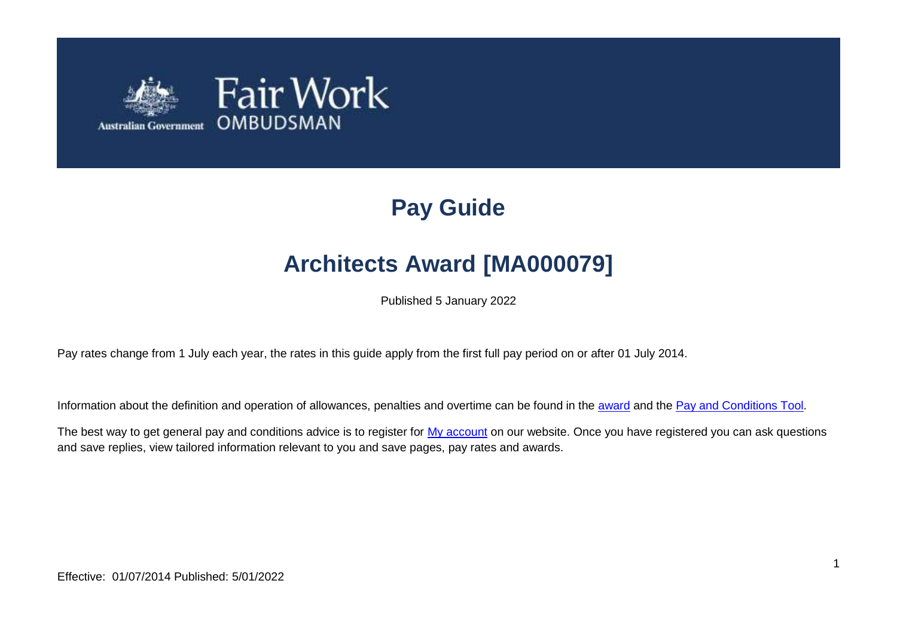

# **Pay Guide**

# **Architects Award [MA000079]**

Published 5 January 2022

Pay rates change from 1 July each year, the rates in this guide apply from the first full pay period on or after 01 July 2014.

Information about the definition and operation of allowances, penalties and overtime can be found in the [award](https://www.fairwork.gov.au/awards-and-agreements/awards/list-of-awards) and the [Pay and Conditions Tool.](https://calculate.fairwork.gov.au/)

The best way to get general pay and conditions advice is to register for [My account](https://www.fairwork.gov.au/my-account/registerpage.aspx) on our website. Once you have registered you can ask questions and save replies, view tailored information relevant to you and save pages, pay rates and awards.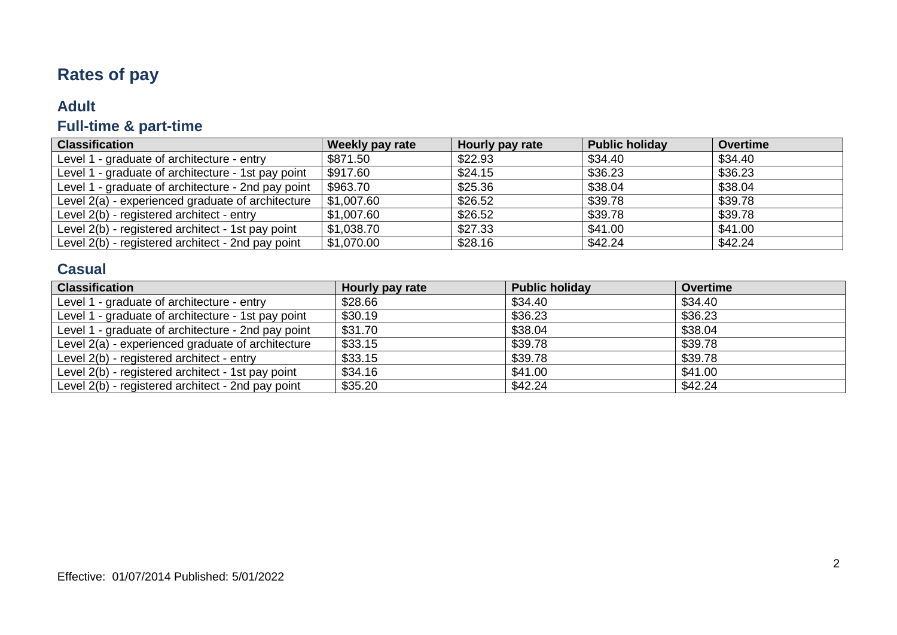## **Rates of pay**

#### **Adult**

## **Full-time & part-time**

| <b>Classification</b>                              | Weekly pay rate          | Hourly pay rate | <b>Public holiday</b> | Overtime |
|----------------------------------------------------|--------------------------|-----------------|-----------------------|----------|
| Level 1 - graduate of architecture - entry         | \$871.50                 | \$22.93         | \$34.40               | \$34.40  |
| Level 1 - graduate of architecture - 1st pay point | \$917.60                 | \$24.15         | \$36.23               | \$36.23  |
| Level 1 - graduate of architecture - 2nd pay point | \$963.70                 | \$25.36         | \$38.04               | \$38.04  |
| Level 2(a) - experienced graduate of architecture  | \$1,007.60               | \$26.52         | \$39.78               | \$39.78  |
| Level 2(b) - registered architect - entry          | \$1,007.60               | \$26.52         | \$39.78               | \$39.78  |
| Level 2(b) - registered architect - 1st pay point  | $\frac{1}{2}$ \$1,038.70 | \$27.33         | \$41.00               | \$41.00  |
| Level 2(b) - registered architect - 2nd pay point  | \$1,070.00               | \$28.16         | \$42.24               | \$42.24  |

#### **Casual**

| <b>Classification</b>                              | Hourly pay rate | <b>Public holiday</b> | <b>Overtime</b> |
|----------------------------------------------------|-----------------|-----------------------|-----------------|
| Level 1 - graduate of architecture - entry         | \$28.66         | \$34.40               | \$34.40         |
| Level 1 - graduate of architecture - 1st pay point | \$30.19         | \$36.23               | \$36.23         |
| Level 1 - graduate of architecture - 2nd pay point | \$31.70         | \$38.04               | \$38.04         |
| Level 2(a) - experienced graduate of architecture  | \$33.15         | \$39.78               | \$39.78         |
| Level 2(b) - registered architect - entry          | \$33.15         | \$39.78               | \$39.78         |
| Level 2(b) - registered architect - 1st pay point  | \$34.16         | \$41.00               | \$41.00         |
| Level 2(b) - registered architect - 2nd pay point  | \$35.20         | \$42.24               | \$42.24         |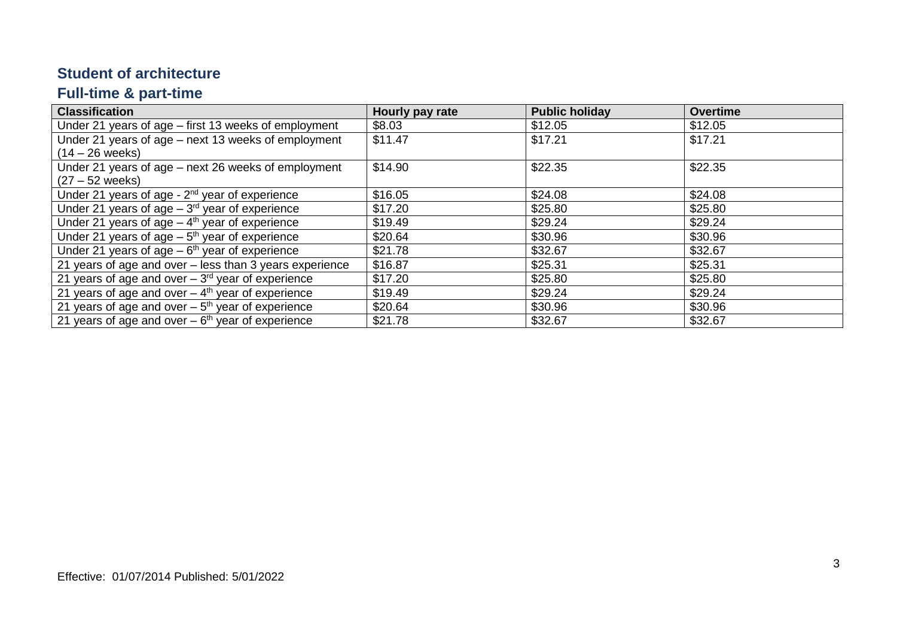#### **Student of architecture**

### **Full-time & part-time**

| <b>Classification</b>                                          | Hourly pay rate | <b>Public holiday</b> | <b>Overtime</b> |
|----------------------------------------------------------------|-----------------|-----------------------|-----------------|
| Under 21 years of age – first 13 weeks of employment           | \$8.03          | \$12.05               | \$12.05         |
| Under 21 years of age – next 13 weeks of employment            | \$11.47         | \$17.21               | \$17.21         |
| $(14 - 26$ weeks)                                              |                 |                       |                 |
| Under 21 years of age – next 26 weeks of employment            | \$14.90         | \$22.35               | \$22.35         |
| $(27 - 52$ weeks)                                              |                 |                       |                 |
| Under 21 years of age - $2nd$ year of experience               | \$16.05         | \$24.08               | \$24.08         |
| Under 21 years of age $-3^{rd}$ year of experience             | \$17.20         | \$25.80               | \$25.80         |
| Under 21 years of age $-4$ <sup>th</sup> year of experience    | \$19.49         | \$29.24               | \$29.24         |
| Under 21 years of age $-5$ <sup>th</sup> year of experience    | \$20.64         | \$30.96               | \$30.96         |
| Under 21 years of age $-6th$ year of experience                | \$21.78         | \$32.67               | \$32.67         |
| 21 years of age and over – less than 3 years experience        | \$16.87         | \$25.31               | \$25.31         |
| 21 years of age and over $-3rd$ year of experience             | \$17.20         | \$25.80               | \$25.80         |
| 21 years of age and over $-4th$ year of experience             | \$19.49         | \$29.24               | \$29.24         |
| 21 years of age and over $-5$ <sup>th</sup> year of experience | \$20.64         | \$30.96               | \$30.96         |
| 21 years of age and over $-6th$ year of experience             | \$21.78         | \$32.67               | \$32.67         |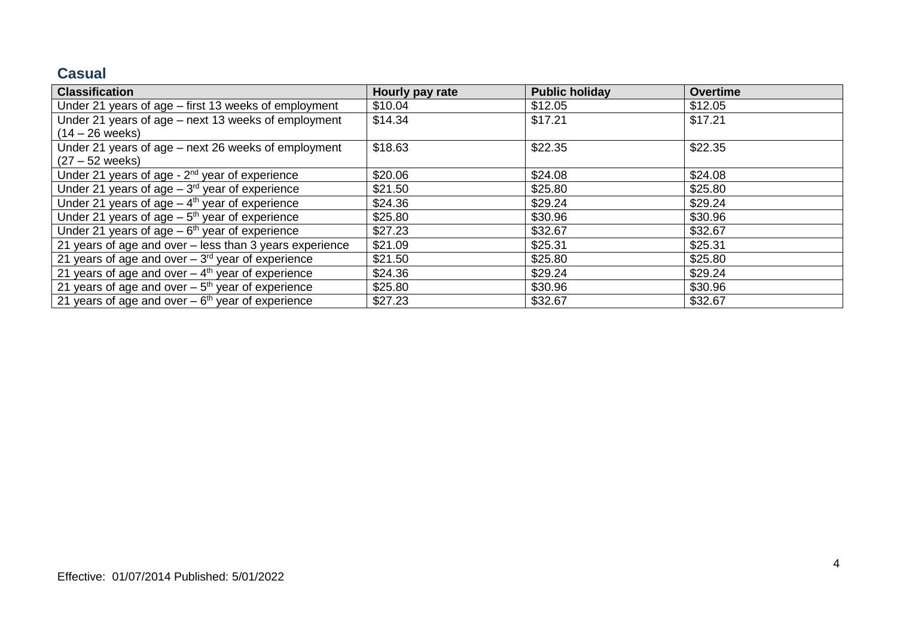#### **Casual**

| <b>Classification</b>                                          | Hourly pay rate | <b>Public holiday</b> | <b>Overtime</b> |
|----------------------------------------------------------------|-----------------|-----------------------|-----------------|
| Under 21 years of age – first 13 weeks of employment           | \$10.04         | \$12.05               | \$12.05         |
| Under 21 years of age – next 13 weeks of employment            | \$14.34         | \$17.21               | \$17.21         |
| $(14 - 26$ weeks)                                              |                 |                       |                 |
| Under 21 years of age - next 26 weeks of employment            | \$18.63         | \$22.35               | \$22.35         |
| $(27 - 52$ weeks)                                              |                 |                       |                 |
| Under 21 years of age - 2 <sup>nd</sup> year of experience     | \$20.06         | \$24.08               | \$24.08         |
| Under 21 years of age $-3rd$ year of experience                | \$21.50         | \$25.80               | \$25.80         |
| Under 21 years of age $-4th$ year of experience                | \$24.36         | \$29.24               | \$29.24         |
| Under 21 years of age $-5th$ year of experience                | \$25.80         | \$30.96               | \$30.96         |
| Under 21 years of age $-6th$ year of experience                | \$27.23         | \$32.67               | \$32.67         |
| 21 years of age and over - less than 3 years experience        | \$21.09         | \$25.31               | \$25.31         |
| 21 years of age and over $-3^{rd}$ year of experience          | \$21.50         | \$25.80               | \$25.80         |
| 21 years of age and over $-4$ <sup>th</sup> year of experience | \$24.36         | \$29.24               | \$29.24         |
| 21 years of age and over $-5th$ year of experience             | \$25.80         | \$30.96               | \$30.96         |
| 21 years of age and over $-6$ <sup>th</sup> year of experience | \$27.23         | \$32.67               | \$32.67         |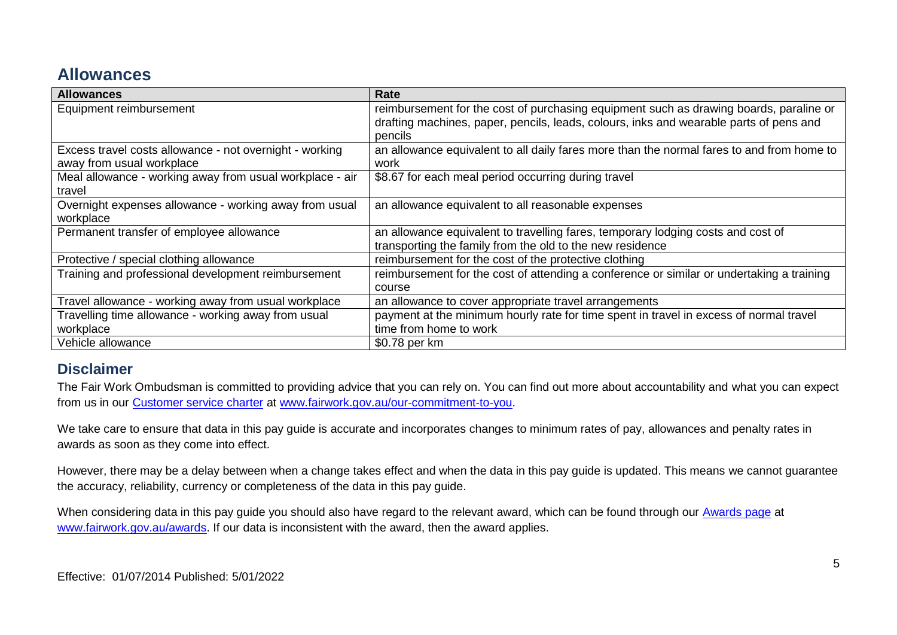### **Allowances**

| <b>Allowances</b>                                        | Rate                                                                                      |
|----------------------------------------------------------|-------------------------------------------------------------------------------------------|
| Equipment reimbursement                                  | reimbursement for the cost of purchasing equipment such as drawing boards, paraline or    |
|                                                          | drafting machines, paper, pencils, leads, colours, inks and wearable parts of pens and    |
|                                                          | pencils                                                                                   |
| Excess travel costs allowance - not overnight - working  | an allowance equivalent to all daily fares more than the normal fares to and from home to |
| away from usual workplace                                | work                                                                                      |
| Meal allowance - working away from usual workplace - air | \$8.67 for each meal period occurring during travel                                       |
| travel                                                   |                                                                                           |
| Overnight expenses allowance - working away from usual   | an allowance equivalent to all reasonable expenses                                        |
| workplace                                                |                                                                                           |
| Permanent transfer of employee allowance                 | an allowance equivalent to travelling fares, temporary lodging costs and cost of          |
|                                                          | transporting the family from the old to the new residence                                 |
| Protective / special clothing allowance                  | reimbursement for the cost of the protective clothing                                     |
| Training and professional development reimbursement      | reimbursement for the cost of attending a conference or similar or undertaking a training |
|                                                          | course                                                                                    |
| Travel allowance - working away from usual workplace     | an allowance to cover appropriate travel arrangements                                     |
| Travelling time allowance - working away from usual      | payment at the minimum hourly rate for time spent in travel in excess of normal travel    |
| workplace                                                | time from home to work                                                                    |
| Vehicle allowance                                        | \$0.78 per km                                                                             |

#### **Disclaimer**

The Fair Work Ombudsman is committed to providing advice that you can rely on. You can find out more about accountability and what you can expect from us in our [Customer service charter](https://www.fairwork.gov.au/about-us/our-role-and-purpose/our-priorities/our-commitment-to-you#customer-service-charter) at [www.fairwork.gov.au/our-commitment-to-you.](http://www.fairwork.gov.au/our-commitment-to-you)

We take care to ensure that data in this pay guide is accurate and incorporates changes to minimum rates of pay, allowances and penalty rates in awards as soon as they come into effect.

However, there may be a delay between when a change takes effect and when the data in this pay guide is updated. This means we cannot guarantee the accuracy, reliability, currency or completeness of the data in this pay guide.

When considering data in this pay guide you should also have regard to the relevant award, which can be found through our [Awards page](https://www.fairwork.gov.au/awards-and-agreements/awards) at [www.fairwork.gov.au/awards.](http://www.fairwork.gov.au/awards) If our data is inconsistent with the award, then the award applies.